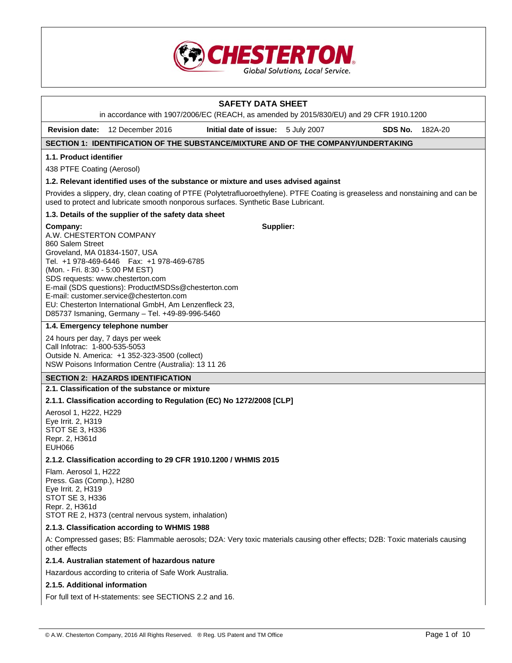

# **SAFETY DATA SHEET**  in accordance with 1907/2006/EC (REACH, as amended by 2015/830/EU) and 29 CFR 1910.1200 **Revision date:** 12 December 2016 **Initial date of issue:** 5 July 2007 **SDS No.** 182A-20 **SECTION 1: IDENTIFICATION OF THE SUBSTANCE/MIXTURE AND OF THE COMPANY/UNDERTAKING 1.1. Product identifier**  438 PTFE Coating (Aerosol) **1.2. Relevant identified uses of the substance or mixture and uses advised against**  Provides a slippery, dry, clean coating of PTFE (Polytetrafluoroethylene). PTFE Coating is greaseless and nonstaining and can be used to protect and lubricate smooth nonporous surfaces. Synthetic Base Lubricant. **1.3. Details of the supplier of the safety data sheet Company:** A.W. CHESTERTON COMPANY 860 Salem Street Groveland, MA 01834-1507, USA Tel. +1 978-469-6446 Fax: +1 978-469-6785 (Mon. - Fri. 8:30 - 5:00 PM EST) SDS requests: www.chesterton.com E-mail (SDS questions): ProductMSDSs@chesterton.com E-mail: customer.service@chesterton.com EU: Chesterton International GmbH, Am Lenzenfleck 23, D85737 Ismaning, Germany – Tel. +49-89-996-5460 **Supplier: 1.4. Emergency telephone number**  24 hours per day, 7 days per week Call Infotrac: 1-800-535-5053 Outside N. America: +1 352-323-3500 (collect) NSW Poisons Information Centre (Australia): 13 11 26 **SECTION 2: HAZARDS IDENTIFICATION 2.1. Classification of the substance or mixture 2.1.1. Classification according to Regulation (EC) No 1272/2008 [CLP]**  Aerosol 1, H222, H229 Eye Irrit. 2, H319 STOT SE 3, H336 Repr. 2, H361d EUH066 **2.1.2. Classification according to 29 CFR 1910.1200 / WHMIS 2015**  Flam. Aerosol 1, H222 Press. Gas (Comp.), H280 Eye Irrit. 2, H319 STOT SE 3, H336 Repr. 2, H361d STOT RE 2, H373 (central nervous system, inhalation) **2.1.3. Classification according to WHMIS 1988**  A: Compressed gases; B5: Flammable aerosols; D2A: Very toxic materials causing other effects; D2B: Toxic materials causing other effects **2.1.4. Australian statement of hazardous nature**  Hazardous according to criteria of Safe Work Australia. **2.1.5. Additional information**  For full text of H-statements: see SECTIONS 2.2 and 16.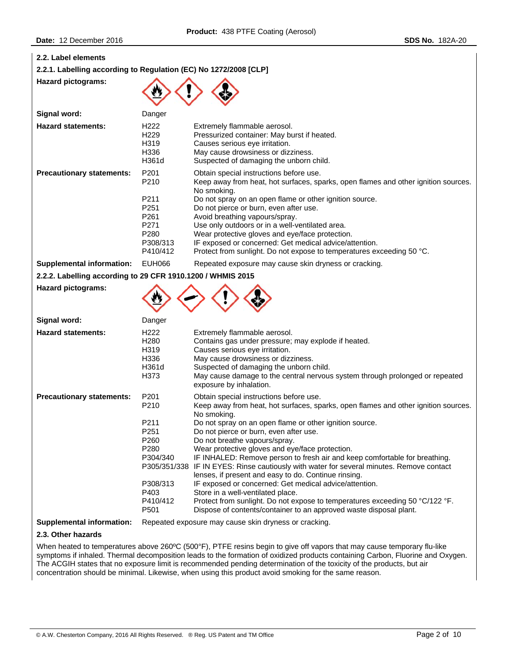| 2.2. Label elements                                              |                                                                                                                  |                                                                                                                                                                                                                                                                                                                                                                                                                                                                                                                                                                                                                                                                                                                                                                                                                 |
|------------------------------------------------------------------|------------------------------------------------------------------------------------------------------------------|-----------------------------------------------------------------------------------------------------------------------------------------------------------------------------------------------------------------------------------------------------------------------------------------------------------------------------------------------------------------------------------------------------------------------------------------------------------------------------------------------------------------------------------------------------------------------------------------------------------------------------------------------------------------------------------------------------------------------------------------------------------------------------------------------------------------|
| 2.2.1. Labelling according to Regulation (EC) No 1272/2008 [CLP] |                                                                                                                  |                                                                                                                                                                                                                                                                                                                                                                                                                                                                                                                                                                                                                                                                                                                                                                                                                 |
| Hazard pictograms:                                               |                                                                                                                  |                                                                                                                                                                                                                                                                                                                                                                                                                                                                                                                                                                                                                                                                                                                                                                                                                 |
| Signal word:                                                     | Danger                                                                                                           |                                                                                                                                                                                                                                                                                                                                                                                                                                                                                                                                                                                                                                                                                                                                                                                                                 |
| <b>Hazard statements:</b>                                        | H <sub>222</sub><br>H <sub>229</sub><br>H319<br>H336<br>H361d                                                    | Extremely flammable aerosol.<br>Pressurized container: May burst if heated.<br>Causes serious eye irritation.<br>May cause drowsiness or dizziness.<br>Suspected of damaging the unborn child.                                                                                                                                                                                                                                                                                                                                                                                                                                                                                                                                                                                                                  |
| <b>Precautionary statements:</b>                                 | P201<br>P210<br>P211<br>P251<br>P261<br>P271<br>P280<br>P308/313<br>P410/412                                     | Obtain special instructions before use.<br>Keep away from heat, hot surfaces, sparks, open flames and other ignition sources.<br>No smoking.<br>Do not spray on an open flame or other ignition source.<br>Do not pierce or burn, even after use.<br>Avoid breathing vapours/spray.<br>Use only outdoors or in a well-ventilated area.<br>Wear protective gloves and eye/face protection.<br>IF exposed or concerned: Get medical advice/attention.<br>Protect from sunlight. Do not expose to temperatures exceeding 50 °C.                                                                                                                                                                                                                                                                                    |
| <b>Supplemental information:</b>                                 | <b>EUH066</b>                                                                                                    | Repeated exposure may cause skin dryness or cracking.                                                                                                                                                                                                                                                                                                                                                                                                                                                                                                                                                                                                                                                                                                                                                           |
| 2.2.2. Labelling according to 29 CFR 1910.1200 / WHMIS 2015      |                                                                                                                  |                                                                                                                                                                                                                                                                                                                                                                                                                                                                                                                                                                                                                                                                                                                                                                                                                 |
| <b>Hazard pictograms:</b>                                        |                                                                                                                  |                                                                                                                                                                                                                                                                                                                                                                                                                                                                                                                                                                                                                                                                                                                                                                                                                 |
| Signal word:                                                     | Danger                                                                                                           |                                                                                                                                                                                                                                                                                                                                                                                                                                                                                                                                                                                                                                                                                                                                                                                                                 |
| <b>Hazard statements:</b>                                        | H <sub>222</sub><br>H <sub>280</sub><br>H319<br>H336<br>H361d<br>H373                                            | Extremely flammable aerosol.<br>Contains gas under pressure; may explode if heated.<br>Causes serious eye irritation.<br>May cause drowsiness or dizziness.<br>Suspected of damaging the unborn child.<br>May cause damage to the central nervous system through prolonged or repeated<br>exposure by inhalation.                                                                                                                                                                                                                                                                                                                                                                                                                                                                                               |
| <b>Precautionary statements:</b>                                 | P201<br>P210<br>P211<br>P251<br>P260<br>P280<br>P304/340<br>P305/351/338<br>P308/313<br>P403<br>P410/412<br>P501 | Obtain special instructions before use.<br>Keep away from heat, hot surfaces, sparks, open flames and other ignition sources.<br>No smoking.<br>Do not spray on an open flame or other ignition source.<br>Do not pierce or burn, even after use.<br>Do not breathe vapours/spray.<br>Wear protective gloves and eye/face protection.<br>IF INHALED: Remove person to fresh air and keep comfortable for breathing.<br>IF IN EYES: Rinse cautiously with water for several minutes. Remove contact<br>lenses, if present and easy to do. Continue rinsing.<br>IF exposed or concerned: Get medical advice/attention.<br>Store in a well-ventilated place.<br>Protect from sunlight. Do not expose to temperatures exceeding 50 °C/122 °F.<br>Dispose of contents/container to an approved waste disposal plant. |
| <b>Supplemental information:</b>                                 |                                                                                                                  | Repeated exposure may cause skin dryness or cracking.                                                                                                                                                                                                                                                                                                                                                                                                                                                                                                                                                                                                                                                                                                                                                           |
| 2.3. Other hazards                                               |                                                                                                                  |                                                                                                                                                                                                                                                                                                                                                                                                                                                                                                                                                                                                                                                                                                                                                                                                                 |
|                                                                  |                                                                                                                  | When heated to temperatures above 2600C (500°C) DTEE resins hegin to give off vapors that may cause temporary flu-like                                                                                                                                                                                                                                                                                                                                                                                                                                                                                                                                                                                                                                                                                          |

When heated to temperatures above 260ºC (500°F), PTFE resins begin to give off vapors that may cause temporary flu-like symptoms if inhaled. Thermal decomposition leads to the formation of oxidized products containing Carbon, Fluorine and Oxygen. The ACGIH states that no exposure limit is recommended pending determination of the toxicity of the products, but air concentration should be minimal. Likewise, when using this product avoid smoking for the same reason.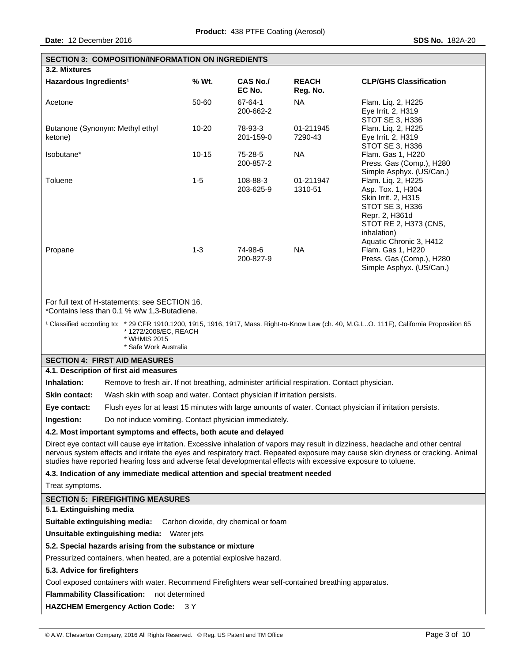|                                                                                                                                                                                                                                                                                                                                                                                        | <b>SECTION 3: COMPOSITION/INFORMATION ON INGREDIENTS</b>   |                                      |                          |                                                                                                                                             |  |
|----------------------------------------------------------------------------------------------------------------------------------------------------------------------------------------------------------------------------------------------------------------------------------------------------------------------------------------------------------------------------------------|------------------------------------------------------------|--------------------------------------|--------------------------|---------------------------------------------------------------------------------------------------------------------------------------------|--|
| 3.2. Mixtures                                                                                                                                                                                                                                                                                                                                                                          |                                                            |                                      |                          |                                                                                                                                             |  |
| Hazardous Ingredients <sup>1</sup>                                                                                                                                                                                                                                                                                                                                                     | % Wt.                                                      | <b>CAS No./</b><br>EC No.            | <b>REACH</b><br>Reg. No. | <b>CLP/GHS Classification</b>                                                                                                               |  |
| Acetone                                                                                                                                                                                                                                                                                                                                                                                | 50-60                                                      | 67-64-1<br>200-662-2                 | NA.                      | Flam. Liq. 2, H225<br>Eye Irrit. 2, H319<br>STOT SE 3, H336                                                                                 |  |
| Butanone (Synonym: Methyl ethyl<br>ketone)                                                                                                                                                                                                                                                                                                                                             | 10-20                                                      | 78-93-3<br>201-159-0                 | 01-211945<br>7290-43     | Flam. Liq. 2, H225<br>Eye Irrit. 2, H319<br>STOT SE 3, H336                                                                                 |  |
| Isobutane*                                                                                                                                                                                                                                                                                                                                                                             | $10 - 15$                                                  | 75-28-5<br>200-857-2                 | <b>NA</b>                | Flam. Gas 1, H220<br>Press. Gas (Comp.), H280<br>Simple Asphyx. (US/Can.)                                                                   |  |
| Toluene                                                                                                                                                                                                                                                                                                                                                                                | $1 - 5$                                                    | 108-88-3<br>203-625-9                | 01-211947<br>1310-51     | Flam. Liq. 2, H225<br>Asp. Tox. 1, H304<br>Skin Irrit. 2, H315<br>STOT SE 3, H336<br>Repr. 2, H361d<br>STOT RE 2, H373 (CNS,<br>inhalation) |  |
| Propane                                                                                                                                                                                                                                                                                                                                                                                | $1 - 3$                                                    | 74-98-6<br>200-827-9                 | <b>NA</b>                | Aquatic Chronic 3, H412<br>Flam. Gas 1, H220<br>Press. Gas (Comp.), H280<br>Simple Asphyx. (US/Can.)                                        |  |
| For full text of H-statements: see SECTION 16.<br>*Contains less than 0.1 % w/w 1,3-Butadiene.                                                                                                                                                                                                                                                                                         |                                                            |                                      |                          |                                                                                                                                             |  |
| <sup>1</sup> Classified according to: * 29 CFR 1910.1200, 1915, 1916, 1917, Mass. Right-to-Know Law (ch. 40, M.G.LO. 111F), California Proposition 65<br>*1272/2008/EC, REACH<br>* WHMIS 2015<br>* Safe Work Australia                                                                                                                                                                 |                                                            |                                      |                          |                                                                                                                                             |  |
| <b>SECTION 4: FIRST AID MEASURES</b>                                                                                                                                                                                                                                                                                                                                                   |                                                            |                                      |                          |                                                                                                                                             |  |
| 4.1. Description of first aid measures                                                                                                                                                                                                                                                                                                                                                 |                                                            |                                      |                          |                                                                                                                                             |  |
| Inhalation:<br>Remove to fresh air. If not breathing, administer artificial respiration. Contact physician.                                                                                                                                                                                                                                                                            |                                                            |                                      |                          |                                                                                                                                             |  |
| <b>Skin contact:</b><br>Wash skin with soap and water. Contact physician if irritation persists.                                                                                                                                                                                                                                                                                       |                                                            |                                      |                          |                                                                                                                                             |  |
| Eye contact:                                                                                                                                                                                                                                                                                                                                                                           |                                                            |                                      |                          | Flush eyes for at least 15 minutes with large amounts of water. Contact physician if irritation persists.                                   |  |
| Ingestion:<br>Do not induce vomiting. Contact physician immediately.                                                                                                                                                                                                                                                                                                                   |                                                            |                                      |                          |                                                                                                                                             |  |
| 4.2. Most important symptoms and effects, both acute and delayed                                                                                                                                                                                                                                                                                                                       |                                                            |                                      |                          |                                                                                                                                             |  |
| Direct eye contact will cause eye irritation. Excessive inhalation of vapors may result in dizziness, headache and other central<br>nervous system effects and irritate the eyes and respiratory tract. Repeated exposure may cause skin dryness or cracking. Animal<br>studies have reported hearing loss and adverse fetal developmental effects with excessive exposure to toluene. |                                                            |                                      |                          |                                                                                                                                             |  |
| 4.3. Indication of any immediate medical attention and special treatment needed                                                                                                                                                                                                                                                                                                        |                                                            |                                      |                          |                                                                                                                                             |  |
| Treat symptoms.                                                                                                                                                                                                                                                                                                                                                                        |                                                            |                                      |                          |                                                                                                                                             |  |
| <b>SECTION 5: FIREFIGHTING MEASURES</b>                                                                                                                                                                                                                                                                                                                                                |                                                            |                                      |                          |                                                                                                                                             |  |
| 5.1. Extinguishing media                                                                                                                                                                                                                                                                                                                                                               |                                                            |                                      |                          |                                                                                                                                             |  |
| Suitable extinguishing media:                                                                                                                                                                                                                                                                                                                                                          |                                                            | Carbon dioxide, dry chemical or foam |                          |                                                                                                                                             |  |
| Unsuitable extinguishing media: Water jets                                                                                                                                                                                                                                                                                                                                             |                                                            |                                      |                          |                                                                                                                                             |  |
|                                                                                                                                                                                                                                                                                                                                                                                        | 5.2. Special hazards arising from the substance or mixture |                                      |                          |                                                                                                                                             |  |
| Pressurized containers, when heated, are a potential explosive hazard.                                                                                                                                                                                                                                                                                                                 |                                                            |                                      |                          |                                                                                                                                             |  |
| 5.3. Advice for firefighters                                                                                                                                                                                                                                                                                                                                                           |                                                            |                                      |                          |                                                                                                                                             |  |
| Cool exposed containers with water. Recommend Firefighters wear self-contained breathing apparatus.<br><b>Flammability Classification:</b><br>not determined                                                                                                                                                                                                                           |                                                            |                                      |                          |                                                                                                                                             |  |
| <b>HAZCHEM Emergency Action Code:</b>                                                                                                                                                                                                                                                                                                                                                  | 3 Y                                                        |                                      |                          |                                                                                                                                             |  |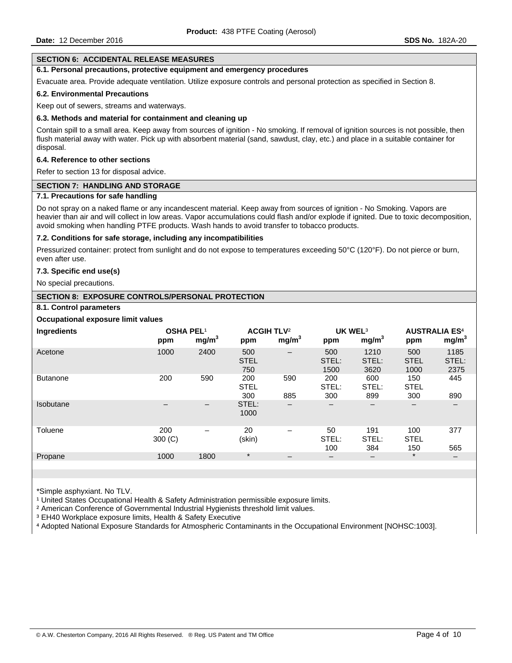#### **SECTION 6: ACCIDENTAL RELEASE MEASURES**

# **6.1. Personal precautions, protective equipment and emergency procedures**

Evacuate area. Provide adequate ventilation. Utilize exposure controls and personal protection as specified in Section 8.

#### **6.2. Environmental Precautions**

Keep out of sewers, streams and waterways.

#### **6.3. Methods and material for containment and cleaning up**

Contain spill to a small area. Keep away from sources of ignition - No smoking. If removal of ignition sources is not possible, then flush material away with water. Pick up with absorbent material (sand, sawdust, clay, etc.) and place in a suitable container for disposal.

#### **6.4. Reference to other sections**

Refer to section 13 for disposal advice.

#### **SECTION 7: HANDLING AND STORAGE**

#### **7.1. Precautions for safe handling**

Do not spray on a naked flame or any incandescent material. Keep away from sources of ignition - No Smoking. Vapors are heavier than air and will collect in low areas. Vapor accumulations could flash and/or explode if ignited. Due to toxic decomposition, avoid smoking when handling PTFE products. Wash hands to avoid transfer to tobacco products.

### **7.2. Conditions for safe storage, including any incompatibilities**

Pressurized container: protect from sunlight and do not expose to temperatures exceeding 50°C (120°F). Do not pierce or burn, even after use.

### **7.3. Specific end use(s)**

No special precautions.

# **SECTION 8: EXPOSURE CONTROLS/PERSONAL PROTECTION**

### **8.1. Control parameters**

### **Occupational exposure limit values**

| Ingredients      | <b>OSHA PEL1</b><br>ppm | mg/m <sup>3</sup>            | <b>ACGIH TLV<sup>2</sup></b><br>ppm | mg/m <sup>3</sup>        | UK WEL <sup>3</sup><br>ppm | mg/m <sup>3</sup>                       | <b>AUSTRALIA ES4</b><br>ppm | mg/m <sup>3</sup>     |
|------------------|-------------------------|------------------------------|-------------------------------------|--------------------------|----------------------------|-----------------------------------------|-----------------------------|-----------------------|
| Acetone          | 1000                    | 2400                         | 500<br><b>STEL</b><br>750           | $\qquad \qquad \qquad$   | 500<br>STEL:<br>1500       | 1210<br>STEL:<br>3620                   | 500<br><b>STEL</b><br>1000  | 1185<br>STEL:<br>2375 |
| <b>Butanone</b>  | 200                     | 590                          | 200<br><b>STEL</b><br>300           | 590<br>885               | 200<br>STEL:<br>300        | 600<br>STEL:<br>899                     | 150<br><b>STEL</b><br>300   | 445<br>890            |
| <b>Isobutane</b> |                         | $\qquad \qquad \blacksquare$ | STEL:<br>1000                       | $\qquad \qquad -$        | $\qquad \qquad$            | $\overline{\phantom{m}}$                | $\overline{\phantom{m}}$    |                       |
| Toluene          | 200<br>300 (C)          | $\overline{\phantom{0}}$     | 20<br>(skin)                        | $\overline{\phantom{0}}$ | 50<br>STEL:<br>100         | 191<br>STEL:<br>384                     | 100<br><b>STEL</b><br>150   | 377<br>565            |
| Propane          | 1000                    | 1800                         | $\star$                             | $\overline{\phantom{m}}$ | $\overline{\phantom{m}}$   | $\qquad \qquad \  \  \, -\qquad \qquad$ | $\star$                     | —                     |

\*Simple asphyxiant. No TLV.

<sup>1</sup> United States Occupational Health & Safety Administration permissible exposure limits.

² American Conference of Governmental Industrial Hygienists threshold limit values.

³ EH40 Workplace exposure limits, Health & Safety Executive

⁴ Adopted National Exposure Standards for Atmospheric Contaminants in the Occupational Environment [NOHSC:1003].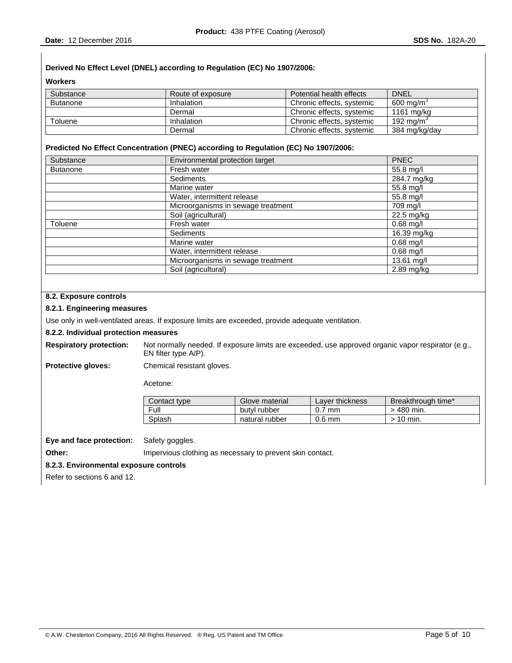# **Derived No Effect Level (DNEL) according to Regulation (EC) No 1907/2006:**

**Workers** 

| Substance       | Route of exposure | Potential health effects  | <b>DNEL</b>           |
|-----------------|-------------------|---------------------------|-----------------------|
| <b>Butanone</b> | <b>Inhalation</b> | Chronic effects, systemic | $600 \text{ ma/m}^3$  |
|                 | Dermal            | Chronic effects, systemic | 1161 ma/ka            |
| Toluene         | <b>Inhalation</b> | Chronic effects, systemic | 192 ma/m <sup>3</sup> |
|                 | Dermal            | Chronic effects, systemic | 384 mg/kg/day         |

### **Predicted No Effect Concentration (PNEC) according to Regulation (EC) No 1907/2006:**

| Substance       | Environmental protection target    | <b>PNEC</b>  |
|-----------------|------------------------------------|--------------|
| <b>Butanone</b> | Fresh water                        | 55.8 mg/l    |
|                 | Sediments                          | 284.7 mg/kg  |
|                 | Marine water                       | 55.8 mg/l    |
|                 | Water, intermittent release        | 55.8 mg/l    |
|                 | Microorganisms in sewage treatment | 709 mg/l     |
|                 | Soil (agricultural)                | 22.5 mg/kg   |
| Toluene         | Fresh water                        | $0.68$ mg/l  |
|                 | Sediments                          | 16.39 mg/kg  |
|                 | Marine water                       | $0.68$ mg/l  |
|                 | Water, intermittent release        | $0.68$ mg/l  |
|                 | Microorganisms in sewage treatment | 13.61 mg/l   |
|                 | Soil (agricultural)                | $2.89$ mg/kg |

# **8.2. Exposure controls**

# **8.2.1. Engineering measures**

Use only in well-ventilated areas. If exposure limits are exceeded, provide adequate ventilation.

#### **8.2.2. Individual protection measures**

**Respiratory protection:** Not normally needed. If exposure limits are exceeded, use approved organic vapor respirator (e.g., EN filter type A/P).

**Protective gloves:** Chemical resistant gloves.

Acetone:

| Contact type | Glove material | Laver thickness | Breakthrough time* |
|--------------|----------------|-----------------|--------------------|
| Full         | butyl rubber   | $0.7$ mm        | $>$ 480 min.       |
| Splash       | natural rubber | $0.6$ mm        | $>10$ min.         |

**Eye and face protection:** Safety goggles.

**Other: Impervious clothing as necessary to prevent skin contact.** 

# **8.2.3. Environmental exposure controls**

Refer to sections 6 and 12.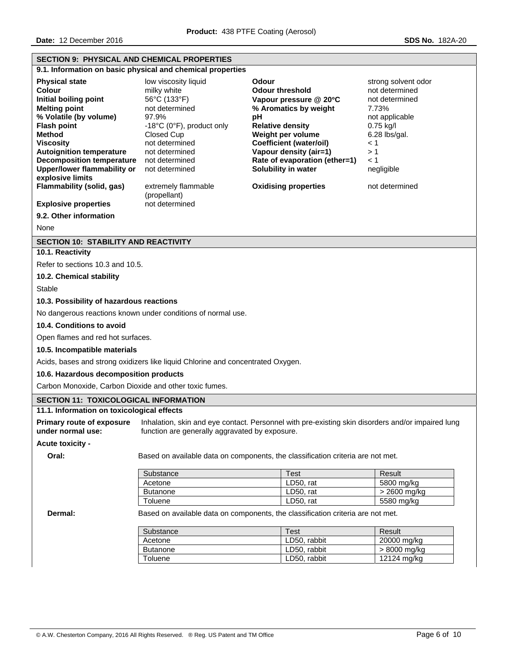| <b>SECTION 9: PHYSICAL AND CHEMICAL PROPERTIES</b>                                                                                                                                                                                                                                                     |                                                                                                                                                                                                   |                                                                                                                                                                                                                                                              |                                                                                                                                                                |  |  |
|--------------------------------------------------------------------------------------------------------------------------------------------------------------------------------------------------------------------------------------------------------------------------------------------------------|---------------------------------------------------------------------------------------------------------------------------------------------------------------------------------------------------|--------------------------------------------------------------------------------------------------------------------------------------------------------------------------------------------------------------------------------------------------------------|----------------------------------------------------------------------------------------------------------------------------------------------------------------|--|--|
|                                                                                                                                                                                                                                                                                                        | 9.1. Information on basic physical and chemical properties                                                                                                                                        |                                                                                                                                                                                                                                                              |                                                                                                                                                                |  |  |
| <b>Physical state</b><br><b>Colour</b><br>Initial boiling point<br><b>Melting point</b><br>% Volatile (by volume)<br><b>Flash point</b><br>Method<br><b>Viscosity</b><br><b>Autoignition temperature</b><br><b>Decomposition temperature</b><br><b>Upper/lower flammability or</b><br>explosive limits | low viscosity liquid<br>milky white<br>56°C (133°F)<br>not determined<br>97.9%<br>-18°C (0°F), product only<br>Closed Cup<br>not determined<br>not determined<br>not determined<br>not determined | Odour<br><b>Odour threshold</b><br>Vapour pressure @ 20°C<br>% Aromatics by weight<br>pH<br><b>Relative density</b><br>Weight per volume<br><b>Coefficient (water/oil)</b><br>Vapour density (air=1)<br>Rate of evaporation (ether=1)<br>Solubility in water | strong solvent odor<br>not determined<br>not determined<br>7.73%<br>not applicable<br>0.75 kg/l<br>$6.28$ lbs/gal.<br>$\leq 1$<br>>1<br>$\leq 1$<br>negligible |  |  |
| Flammability (solid, gas)                                                                                                                                                                                                                                                                              | extremely flammable<br>(propellant)                                                                                                                                                               | <b>Oxidising properties</b>                                                                                                                                                                                                                                  | not determined                                                                                                                                                 |  |  |
| <b>Explosive properties</b>                                                                                                                                                                                                                                                                            | not determined                                                                                                                                                                                    |                                                                                                                                                                                                                                                              |                                                                                                                                                                |  |  |
| 9.2. Other information                                                                                                                                                                                                                                                                                 |                                                                                                                                                                                                   |                                                                                                                                                                                                                                                              |                                                                                                                                                                |  |  |
| None                                                                                                                                                                                                                                                                                                   |                                                                                                                                                                                                   |                                                                                                                                                                                                                                                              |                                                                                                                                                                |  |  |
| <b>SECTION 10: STABILITY AND REACTIVITY</b>                                                                                                                                                                                                                                                            |                                                                                                                                                                                                   |                                                                                                                                                                                                                                                              |                                                                                                                                                                |  |  |
| 10.1. Reactivity                                                                                                                                                                                                                                                                                       |                                                                                                                                                                                                   |                                                                                                                                                                                                                                                              |                                                                                                                                                                |  |  |
| Refer to sections 10.3 and 10.5.                                                                                                                                                                                                                                                                       |                                                                                                                                                                                                   |                                                                                                                                                                                                                                                              |                                                                                                                                                                |  |  |
| 10.2. Chemical stability                                                                                                                                                                                                                                                                               |                                                                                                                                                                                                   |                                                                                                                                                                                                                                                              |                                                                                                                                                                |  |  |
| Stable                                                                                                                                                                                                                                                                                                 |                                                                                                                                                                                                   |                                                                                                                                                                                                                                                              |                                                                                                                                                                |  |  |
| 10.3. Possibility of hazardous reactions                                                                                                                                                                                                                                                               |                                                                                                                                                                                                   |                                                                                                                                                                                                                                                              |                                                                                                                                                                |  |  |
|                                                                                                                                                                                                                                                                                                        | No dangerous reactions known under conditions of normal use.                                                                                                                                      |                                                                                                                                                                                                                                                              |                                                                                                                                                                |  |  |
|                                                                                                                                                                                                                                                                                                        | 10.4. Conditions to avoid                                                                                                                                                                         |                                                                                                                                                                                                                                                              |                                                                                                                                                                |  |  |
| Open flames and red hot surfaces.                                                                                                                                                                                                                                                                      |                                                                                                                                                                                                   |                                                                                                                                                                                                                                                              |                                                                                                                                                                |  |  |
| 10.5. Incompatible materials                                                                                                                                                                                                                                                                           |                                                                                                                                                                                                   |                                                                                                                                                                                                                                                              |                                                                                                                                                                |  |  |
|                                                                                                                                                                                                                                                                                                        | Acids, bases and strong oxidizers like liquid Chlorine and concentrated Oxygen.                                                                                                                   |                                                                                                                                                                                                                                                              |                                                                                                                                                                |  |  |
| 10.6. Hazardous decomposition products                                                                                                                                                                                                                                                                 |                                                                                                                                                                                                   |                                                                                                                                                                                                                                                              |                                                                                                                                                                |  |  |
| Carbon Monoxide, Carbon Dioxide and other toxic fumes.                                                                                                                                                                                                                                                 |                                                                                                                                                                                                   |                                                                                                                                                                                                                                                              |                                                                                                                                                                |  |  |
| <b>SECTION 11: TOXICOLOGICAL INFORMATION</b>                                                                                                                                                                                                                                                           |                                                                                                                                                                                                   |                                                                                                                                                                                                                                                              |                                                                                                                                                                |  |  |
| 11.1. Information on toxicological effects                                                                                                                                                                                                                                                             |                                                                                                                                                                                                   |                                                                                                                                                                                                                                                              |                                                                                                                                                                |  |  |
| <b>Primary route of exposure</b><br>under normal use:                                                                                                                                                                                                                                                  | function are generally aggravated by exposure.                                                                                                                                                    | Inhalation, skin and eye contact. Personnel with pre-existing skin disorders and/or impaired lung                                                                                                                                                            |                                                                                                                                                                |  |  |
| <b>Acute toxicity -</b>                                                                                                                                                                                                                                                                                |                                                                                                                                                                                                   |                                                                                                                                                                                                                                                              |                                                                                                                                                                |  |  |
| Oral:                                                                                                                                                                                                                                                                                                  |                                                                                                                                                                                                   | Based on available data on components, the classification criteria are not met.                                                                                                                                                                              |                                                                                                                                                                |  |  |
|                                                                                                                                                                                                                                                                                                        | Substance                                                                                                                                                                                         | <b>Test</b>                                                                                                                                                                                                                                                  | Result                                                                                                                                                         |  |  |
|                                                                                                                                                                                                                                                                                                        | Acetone<br><b>Butanone</b>                                                                                                                                                                        | LD50, rat<br>LD50, rat                                                                                                                                                                                                                                       | 5800 mg/kg<br>> 2600 mg/kg                                                                                                                                     |  |  |
|                                                                                                                                                                                                                                                                                                        | Toluene                                                                                                                                                                                           | LD50, rat                                                                                                                                                                                                                                                    | 5580 mg/kg                                                                                                                                                     |  |  |
| Dermal:                                                                                                                                                                                                                                                                                                |                                                                                                                                                                                                   | Based on available data on components, the classification criteria are not met.                                                                                                                                                                              |                                                                                                                                                                |  |  |
|                                                                                                                                                                                                                                                                                                        | Substance                                                                                                                                                                                         | <b>Test</b>                                                                                                                                                                                                                                                  | Result                                                                                                                                                         |  |  |
|                                                                                                                                                                                                                                                                                                        | Acetone                                                                                                                                                                                           | LD50, rabbit                                                                                                                                                                                                                                                 | 20000 mg/kg                                                                                                                                                    |  |  |
|                                                                                                                                                                                                                                                                                                        | <b>Butanone</b>                                                                                                                                                                                   | LD50, rabbit                                                                                                                                                                                                                                                 | > 8000 mg/kg                                                                                                                                                   |  |  |
|                                                                                                                                                                                                                                                                                                        | Toluene                                                                                                                                                                                           | LD50, rabbit                                                                                                                                                                                                                                                 | 12124 mg/kg                                                                                                                                                    |  |  |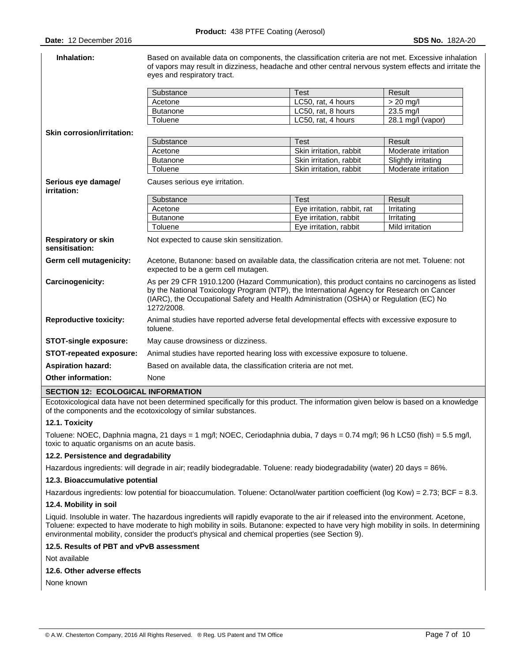| Inhalation:                                  | Based on available data on components, the classification criteria are not met. Excessive inhalation<br>of vapors may result in dizziness, headache and other central nervous system effects and irritate the<br>eyes and respiratory tract.                                                        |                             |                     |
|----------------------------------------------|-----------------------------------------------------------------------------------------------------------------------------------------------------------------------------------------------------------------------------------------------------------------------------------------------------|-----------------------------|---------------------|
|                                              | Substance                                                                                                                                                                                                                                                                                           | <b>Test</b>                 | Result              |
|                                              | Acetone                                                                                                                                                                                                                                                                                             | LC50, rat, 4 hours          | $> 20$ mg/l         |
|                                              | <b>Butanone</b>                                                                                                                                                                                                                                                                                     | LC50, rat, 8 hours          | 23.5 mg/l           |
|                                              | Toluene                                                                                                                                                                                                                                                                                             | LC50, rat, 4 hours          | 28.1 mg/l (vapor)   |
| <b>Skin corrosion/irritation:</b>            |                                                                                                                                                                                                                                                                                                     |                             |                     |
|                                              | Substance                                                                                                                                                                                                                                                                                           | <b>Test</b>                 | Result              |
|                                              | Acetone                                                                                                                                                                                                                                                                                             | Skin irritation, rabbit     | Moderate irritation |
|                                              | <b>Butanone</b>                                                                                                                                                                                                                                                                                     | Skin irritation, rabbit     | Slightly irritating |
|                                              | Toluene                                                                                                                                                                                                                                                                                             | Skin irritation, rabbit     | Moderate irritation |
| Serious eye damage/<br>irritation:           | Causes serious eye irritation.                                                                                                                                                                                                                                                                      |                             |                     |
|                                              | Substance                                                                                                                                                                                                                                                                                           | <b>Test</b>                 | Result              |
|                                              | Acetone                                                                                                                                                                                                                                                                                             | Eye irritation, rabbit, rat | Irritating          |
|                                              | <b>Butanone</b>                                                                                                                                                                                                                                                                                     | Eye irritation, rabbit      | Irritating          |
|                                              | Toluene                                                                                                                                                                                                                                                                                             | Eye irritation, rabbit      | Mild irritation     |
| <b>Respiratory or skin</b><br>sensitisation: | Not expected to cause skin sensitization.                                                                                                                                                                                                                                                           |                             |                     |
| Germ cell mutagenicity:                      | Acetone, Butanone: based on available data, the classification criteria are not met. Toluene: not<br>expected to be a germ cell mutagen.                                                                                                                                                            |                             |                     |
| Carcinogenicity:                             | As per 29 CFR 1910.1200 (Hazard Communication), this product contains no carcinogens as listed<br>by the National Toxicology Program (NTP), the International Agency for Research on Cancer<br>(IARC), the Occupational Safety and Health Administration (OSHA) or Regulation (EC) No<br>1272/2008. |                             |                     |
| <b>Reproductive toxicity:</b>                | Animal studies have reported adverse fetal developmental effects with excessive exposure to<br>toluene.                                                                                                                                                                                             |                             |                     |
| <b>STOT-single exposure:</b>                 | May cause drowsiness or dizziness.                                                                                                                                                                                                                                                                  |                             |                     |
| STOT-repeated exposure:                      | Animal studies have reported hearing loss with excessive exposure to toluene.                                                                                                                                                                                                                       |                             |                     |
| <b>Aspiration hazard:</b>                    | Based on available data, the classification criteria are not met.                                                                                                                                                                                                                                   |                             |                     |
| <b>Other information:</b>                    | None                                                                                                                                                                                                                                                                                                |                             |                     |

# **SECTION 12: ECOLOGICAL INFORMATION**

Ecotoxicological data have not been determined specifically for this product. The information given below is based on a knowledge of the components and the ecotoxicology of similar substances.

# **12.1. Toxicity**

Toluene: NOEC, Daphnia magna, 21 days = 1 mg/l; NOEC, Ceriodaphnia dubia, 7 days = 0.74 mg/l; 96 h LC50 (fish) = 5.5 mg/l, toxic to aquatic organisms on an acute basis.

### **12.2. Persistence and degradability**

Hazardous ingredients: will degrade in air; readily biodegradable. Toluene: ready biodegradability (water) 20 days = 86%.

# **12.3. Bioaccumulative potential**

Hazardous ingredients: low potential for bioaccumulation. Toluene: Octanol/water partition coefficient (log Kow) = 2.73; BCF = 8.3.

#### **12.4. Mobility in soil**

Liquid. Insoluble in water. The hazardous ingredients will rapidly evaporate to the air if released into the environment. Acetone, Toluene: expected to have moderate to high mobility in soils. Butanone: expected to have very high mobility in soils. In determining environmental mobility, consider the product's physical and chemical properties (see Section 9).

#### **12.5. Results of PBT and vPvB assessment**

Not available

### **12.6. Other adverse effects**

None known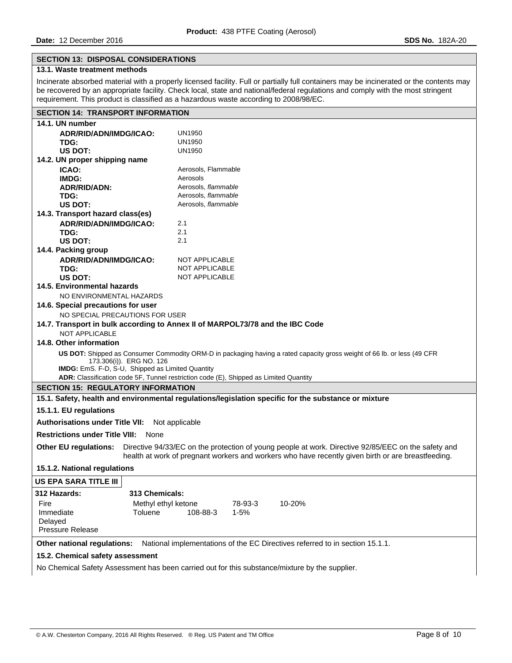# **SECTION 13: DISPOSAL CONSIDERATIONS**

# **13.1. Waste treatment methods**

Incinerate absorbed material with a properly licensed facility. Full or partially full containers may be incinerated or the contents may be recovered by an appropriate facility. Check local, state and national/federal regulations and comply with the most stringent requirement. This product is classified as a hazardous waste according to 2008/98/EC.

| <b>SECTION 14: TRANSPORT INFORMATION</b>                                                                                |                                                                                                     |  |  |  |
|-------------------------------------------------------------------------------------------------------------------------|-----------------------------------------------------------------------------------------------------|--|--|--|
| 14.1. UN number                                                                                                         |                                                                                                     |  |  |  |
| ADR/RID/ADN/IMDG/ICAO:                                                                                                  | UN1950                                                                                              |  |  |  |
| TDG:                                                                                                                    | <b>UN1950</b>                                                                                       |  |  |  |
| US DOT:                                                                                                                 | <b>UN1950</b>                                                                                       |  |  |  |
| 14.2. UN proper shipping name                                                                                           |                                                                                                     |  |  |  |
| ICAO:                                                                                                                   | Aerosols, Flammable                                                                                 |  |  |  |
| IMDG:                                                                                                                   | Aerosols                                                                                            |  |  |  |
| <b>ADR/RID/ADN:</b>                                                                                                     | Aerosols, flammable                                                                                 |  |  |  |
| TDG:                                                                                                                    | Aerosols, flammable                                                                                 |  |  |  |
| US DOT:                                                                                                                 | Aerosols, flammable                                                                                 |  |  |  |
| 14.3. Transport hazard class(es)                                                                                        |                                                                                                     |  |  |  |
| ADR/RID/ADN/IMDG/ICAO:                                                                                                  | 2.1<br>2.1                                                                                          |  |  |  |
| TDG:<br><b>US DOT:</b>                                                                                                  | 2.1                                                                                                 |  |  |  |
| 14.4. Packing group                                                                                                     |                                                                                                     |  |  |  |
| ADR/RID/ADN/IMDG/ICAO:                                                                                                  | NOT APPLICABLE                                                                                      |  |  |  |
| TDG:                                                                                                                    | NOT APPLICABLE                                                                                      |  |  |  |
| US DOT:                                                                                                                 | NOT APPLICABLE                                                                                      |  |  |  |
| 14.5. Environmental hazards                                                                                             |                                                                                                     |  |  |  |
| NO ENVIRONMENTAL HAZARDS                                                                                                |                                                                                                     |  |  |  |
| 14.6. Special precautions for user                                                                                      |                                                                                                     |  |  |  |
| NO SPECIAL PRECAUTIONS FOR USER                                                                                         |                                                                                                     |  |  |  |
|                                                                                                                         | 14.7. Transport in bulk according to Annex II of MARPOL73/78 and the IBC Code                       |  |  |  |
| <b>NOT APPLICABLE</b>                                                                                                   |                                                                                                     |  |  |  |
| 14.8. Other information                                                                                                 |                                                                                                     |  |  |  |
| US DOT: Shipped as Consumer Commodity ORM-D in packaging having a rated capacity gross weight of 66 lb. or less (49 CFR |                                                                                                     |  |  |  |
| 173.306(i)). ERG NO. 126                                                                                                |                                                                                                     |  |  |  |
| IMDG: EmS. F-D, S-U, Shipped as Limited Quantity                                                                        |                                                                                                     |  |  |  |
|                                                                                                                         | ADR: Classification code 5F, Tunnel restriction code (E), Shipped as Limited Quantity               |  |  |  |
|                                                                                                                         | <b>SECTION 15: REGULATORY INFORMATION</b>                                                           |  |  |  |
| 15.1. Safety, health and environmental regulations/legislation specific for the substance or mixture                    |                                                                                                     |  |  |  |
| 15.1.1. EU regulations                                                                                                  |                                                                                                     |  |  |  |
| <b>Authorisations under Title VII:</b>                                                                                  | Not applicable                                                                                      |  |  |  |
| <b>Restrictions under Title VIII: None</b>                                                                              |                                                                                                     |  |  |  |
| <b>Other EU regulations:</b>                                                                                            | Directive 94/33/EC on the protection of young people at work. Directive 92/85/EEC on the safety and |  |  |  |
|                                                                                                                         | health at work of pregnant workers and workers who have recently given birth or are breastfeeding.  |  |  |  |
| 15.1.2. National regulations                                                                                            |                                                                                                     |  |  |  |
| US EPA SARA TITLE III                                                                                                   |                                                                                                     |  |  |  |
| 312 Hazards:<br>313 Chemicals:                                                                                          |                                                                                                     |  |  |  |
| Methyl ethyl ketone<br>Fire                                                                                             | 10-20%<br>78-93-3                                                                                   |  |  |  |
| Immediate<br>Toluene                                                                                                    | 108-88-3<br>1-5%                                                                                    |  |  |  |
| Delayed                                                                                                                 |                                                                                                     |  |  |  |
| <b>Pressure Release</b>                                                                                                 |                                                                                                     |  |  |  |
| National implementations of the EC Directives referred to in section 15.1.1.<br>Other national regulations:             |                                                                                                     |  |  |  |
| 15.2. Chemical safety assessment                                                                                        |                                                                                                     |  |  |  |
|                                                                                                                         | No Chemical Safety Assessment has been carried out for this substance/mixture by the supplier.      |  |  |  |
|                                                                                                                         |                                                                                                     |  |  |  |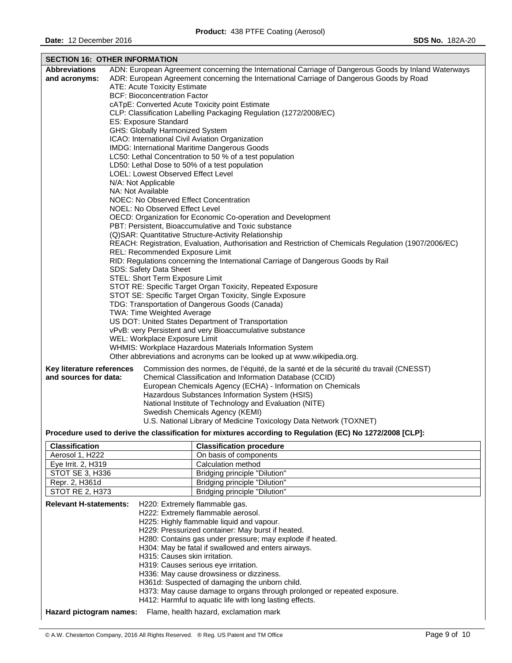| <b>SECTION 16: OTHER INFORMATION</b>                               |  |                                                                                                                                    |  |  |
|--------------------------------------------------------------------|--|------------------------------------------------------------------------------------------------------------------------------------|--|--|
| <b>Abbreviations</b>                                               |  | ADN: European Agreement concerning the International Carriage of Dangerous Goods by Inland Waterways                               |  |  |
| and acronyms:                                                      |  | ADR: European Agreement concerning the International Carriage of Dangerous Goods by Road                                           |  |  |
|                                                                    |  | ATE: Acute Toxicity Estimate                                                                                                       |  |  |
|                                                                    |  | <b>BCF: Bioconcentration Factor</b>                                                                                                |  |  |
|                                                                    |  | cATpE: Converted Acute Toxicity point Estimate                                                                                     |  |  |
|                                                                    |  | CLP: Classification Labelling Packaging Regulation (1272/2008/EC)                                                                  |  |  |
|                                                                    |  | ES: Exposure Standard                                                                                                              |  |  |
|                                                                    |  | <b>GHS: Globally Harmonized System</b>                                                                                             |  |  |
|                                                                    |  | ICAO: International Civil Aviation Organization                                                                                    |  |  |
|                                                                    |  | <b>IMDG: International Maritime Dangerous Goods</b>                                                                                |  |  |
|                                                                    |  | LC50: Lethal Concentration to 50 % of a test population                                                                            |  |  |
|                                                                    |  | LD50: Lethal Dose to 50% of a test population                                                                                      |  |  |
|                                                                    |  | LOEL: Lowest Observed Effect Level                                                                                                 |  |  |
|                                                                    |  | N/A: Not Applicable<br>NA: Not Available                                                                                           |  |  |
|                                                                    |  | NOEC: No Observed Effect Concentration                                                                                             |  |  |
|                                                                    |  | NOEL: No Observed Effect Level                                                                                                     |  |  |
|                                                                    |  | OECD: Organization for Economic Co-operation and Development                                                                       |  |  |
|                                                                    |  | PBT: Persistent, Bioaccumulative and Toxic substance                                                                               |  |  |
|                                                                    |  | (Q) SAR: Quantitative Structure-Activity Relationship                                                                              |  |  |
|                                                                    |  | REACH: Registration, Evaluation, Authorisation and Restriction of Chemicals Regulation (1907/2006/EC)                              |  |  |
|                                                                    |  | REL: Recommended Exposure Limit                                                                                                    |  |  |
|                                                                    |  | RID: Regulations concerning the International Carriage of Dangerous Goods by Rail                                                  |  |  |
| SDS: Safety Data Sheet                                             |  |                                                                                                                                    |  |  |
| STEL: Short Term Exposure Limit                                    |  |                                                                                                                                    |  |  |
| STOT RE: Specific Target Organ Toxicity, Repeated Exposure         |  |                                                                                                                                    |  |  |
| STOT SE: Specific Target Organ Toxicity, Single Exposure           |  |                                                                                                                                    |  |  |
| TDG: Transportation of Dangerous Goods (Canada)                    |  |                                                                                                                                    |  |  |
| TWA: Time Weighted Average                                         |  |                                                                                                                                    |  |  |
| US DOT: United States Department of Transportation                 |  |                                                                                                                                    |  |  |
|                                                                    |  | vPvB: very Persistent and very Bioaccumulative substance                                                                           |  |  |
|                                                                    |  | WEL: Workplace Exposure Limit                                                                                                      |  |  |
|                                                                    |  | WHMIS: Workplace Hazardous Materials Information System<br>Other abbreviations and acronyms can be looked up at www.wikipedia.org. |  |  |
|                                                                    |  |                                                                                                                                    |  |  |
| Key literature references                                          |  | Commission des normes, de l'équité, de la santé et de la sécurité du travail (CNESST)                                              |  |  |
| and sources for data:                                              |  | Chemical Classification and Information Database (CCID)                                                                            |  |  |
|                                                                    |  | European Chemicals Agency (ECHA) - Information on Chemicals                                                                        |  |  |
|                                                                    |  | Hazardous Substances Information System (HSIS)                                                                                     |  |  |
|                                                                    |  | National Institute of Technology and Evaluation (NITE)                                                                             |  |  |
|                                                                    |  | Swedish Chemicals Agency (KEMI)                                                                                                    |  |  |
| U.S. National Library of Medicine Toxicology Data Network (TOXNET) |  |                                                                                                                                    |  |  |
|                                                                    |  | Procedure used to derive the classification for mixtures according to Regulation (EC) No 1272/2008 [CLP]:                          |  |  |
| <b>Classification</b>                                              |  | <b>Classification procedure</b>                                                                                                    |  |  |
| Aerosol 1, H222                                                    |  | On basis of components                                                                                                             |  |  |
| Eye Irrit. 2, H319                                                 |  | Calculation method                                                                                                                 |  |  |
| STOT SE 3, H336                                                    |  | Bridging principle "Dilution"                                                                                                      |  |  |
| Repr. 2, H361d                                                     |  | Bridging principle "Dilution"                                                                                                      |  |  |

| <b>Relevant H-statements:</b> | H220: Extremely flammable gas.<br>H222: Extremely flammable aerosol.<br>H225: Highly flammable liquid and vapour.<br>H229: Pressurized container: May burst if heated.<br>H280: Contains gas under pressure; may explode if heated.<br>H304: May be fatal if swallowed and enters airways.<br>H315: Causes skin irritation.<br>H319: Causes serious eye irritation.<br>H336: May cause drowsiness or dizziness.<br>H361d: Suspected of damaging the unborn child.<br>H373: May cause damage to organs through prolonged or repeated exposure. |
|-------------------------------|-----------------------------------------------------------------------------------------------------------------------------------------------------------------------------------------------------------------------------------------------------------------------------------------------------------------------------------------------------------------------------------------------------------------------------------------------------------------------------------------------------------------------------------------------|
| Hazard pictogram names:       | H412: Harmful to aquatic life with long lasting effects.<br>Flame, health hazard, exclamation mark                                                                                                                                                                                                                                                                                                                                                                                                                                            |

STOT RE 2, H373 | Bridging principle "Dilution"